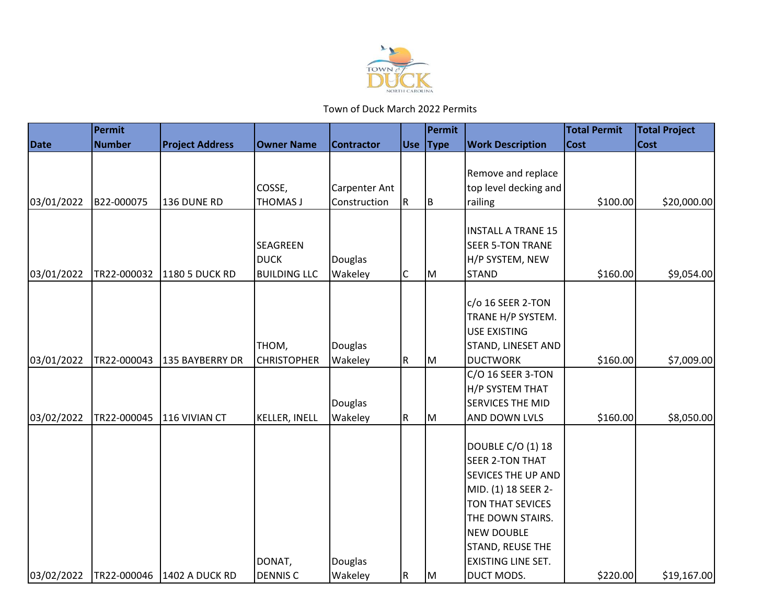

|             | Permit        |                        |                             |                      |             | Permit   |                                       | <b>Total Permit</b> | <b>Total Project</b> |
|-------------|---------------|------------------------|-----------------------------|----------------------|-------------|----------|---------------------------------------|---------------------|----------------------|
| <b>Date</b> | <b>Number</b> | <b>Project Address</b> | <b>Owner Name</b>           | <b>Contractor</b>    |             | Use Type | <b>Work Description</b>               | <b>Cost</b>         | <b>Cost</b>          |
|             |               |                        |                             |                      |             |          |                                       |                     |                      |
|             |               |                        |                             |                      |             |          | Remove and replace                    |                     |                      |
|             |               |                        | COSSE,                      | <b>Carpenter Ant</b> |             |          | top level decking and                 |                     |                      |
| 03/01/2022  | B22-000075    | 136 DUNE RD            | THOMAS J                    | Construction         | R           | IΒ       | railing                               | \$100.00            | \$20,000.00          |
|             |               |                        |                             |                      |             |          |                                       |                     |                      |
|             |               |                        |                             |                      |             |          | <b>INSTALL A TRANE 15</b>             |                     |                      |
|             |               |                        | SEAGREEN                    |                      |             |          | <b>SEER 5-TON TRANE</b>               |                     |                      |
|             |               |                        | <b>DUCK</b>                 | <b>Douglas</b>       |             |          | H/P SYSTEM, NEW                       |                     |                      |
| 03/01/2022  | TR22-000032   | <b>1180 5 DUCK RD</b>  | <b>BUILDING LLC</b>         | Wakeley              | $\mathsf C$ | M        | <b>STAND</b>                          | \$160.00            | \$9,054.00           |
|             |               |                        |                             |                      |             |          | c/o 16 SEER 2-TON                     |                     |                      |
|             |               |                        |                             |                      |             |          | TRANE H/P SYSTEM.                     |                     |                      |
|             |               |                        |                             |                      |             |          | <b>USE EXISTING</b>                   |                     |                      |
|             |               |                        |                             |                      |             |          |                                       |                     |                      |
| 03/01/2022  | TR22-000043   | 135 BAYBERRY DR        | THOM,<br><b>CHRISTOPHER</b> | Douglas<br>Wakeley   | R           |          | STAND, LINESET AND<br><b>DUCTWORK</b> | \$160.00            | \$7,009.00           |
|             |               |                        |                             |                      |             | Iм       | C/O 16 SEER 3-TON                     |                     |                      |
|             |               |                        |                             |                      |             |          | H/P SYSTEM THAT                       |                     |                      |
|             |               |                        |                             | <b>Douglas</b>       |             |          | <b>SERVICES THE MID</b>               |                     |                      |
| 03/02/2022  | TR22-000045   | 116 VIVIAN CT          | <b>KELLER, INELL</b>        | Wakeley              | R           | lм       | AND DOWN LVLS                         | \$160.00            | \$8,050.00           |
|             |               |                        |                             |                      |             |          |                                       |                     |                      |
|             |               |                        |                             |                      |             |          | <b>DOUBLE C/O (1) 18</b>              |                     |                      |
|             |               |                        |                             |                      |             |          | <b>SEER 2-TON THAT</b>                |                     |                      |
|             |               |                        |                             |                      |             |          | <b>SEVICES THE UP AND</b>             |                     |                      |
|             |               |                        |                             |                      |             |          | MID. (1) 18 SEER 2-                   |                     |                      |
|             |               |                        |                             |                      |             |          | TON THAT SEVICES                      |                     |                      |
|             |               |                        |                             |                      |             |          | THE DOWN STAIRS.                      |                     |                      |
|             |               |                        |                             |                      |             |          | <b>NEW DOUBLE</b>                     |                     |                      |
|             |               |                        |                             |                      |             |          | STAND, REUSE THE                      |                     |                      |
|             |               |                        | DONAT,                      | Douglas              |             |          | EXISTING LINE SET.                    |                     |                      |
| 03/02/2022  | TR22-000046   | 1402 A DUCK RD         | <b>DENNIS C</b>             | Wakeley              | $\mathsf R$ | Iм       | DUCT MODS.                            | \$220.00            | \$19,167.00          |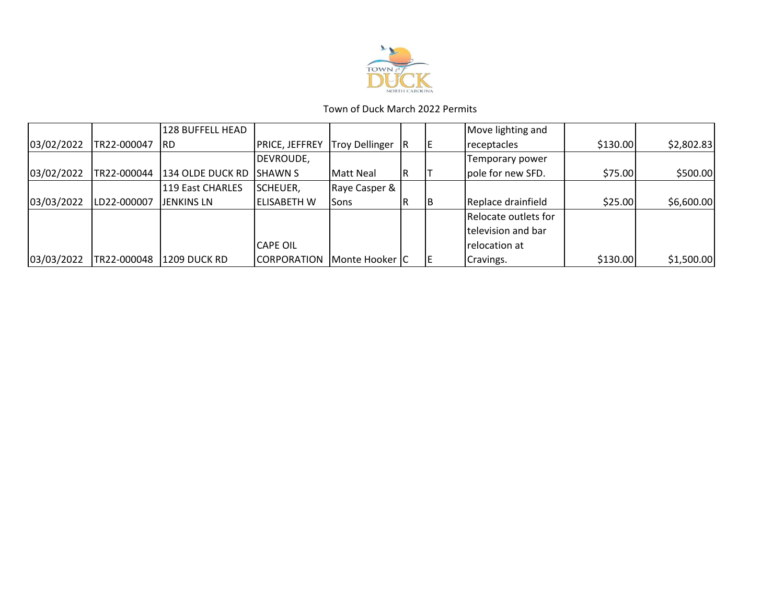

|            |             | 128 BUFFELL HEAD    |                       |                    |    | Move lighting and    |          |            |
|------------|-------------|---------------------|-----------------------|--------------------|----|----------------------|----------|------------|
| 03/02/2022 | TR22-000047 | IRD.                | <b>PRICE, JEFFREY</b> | Troy Dellinger     |    | receptacles          | \$130.00 | \$2,802.83 |
|            |             |                     | DEVROUDE,             |                    |    | Temporary power      |          |            |
| 03/02/2022 | TR22-000044 | 134 OLDE DUCK RD    | <b>ISHAWN S</b>       | <b>I</b> Matt Neal |    | pole for new SFD.    | \$75.00  | \$500.00   |
|            |             | 119 East CHARLES    | SCHEUER,              | Raye Casper &      |    |                      |          |            |
| 03/03/2022 | LD22-000007 | <b>JENKINS LN</b>   | <b>IELISABETH W</b>   | Sons               | IΒ | Replace drainfield   | \$25.00  | \$6,600.00 |
|            |             |                     |                       |                    |    | Relocate outlets for |          |            |
|            |             |                     |                       |                    |    | television and bar   |          |            |
|            |             |                     | <b>CAPE OIL</b>       |                    |    | relocation at        |          |            |
| 03/03/2022 | TR22-000048 | <b>1209 DUCK RD</b> | <b>CORPORATION</b>    | Monte Hooker C     |    | Cravings.            | \$130.00 | \$1,500.00 |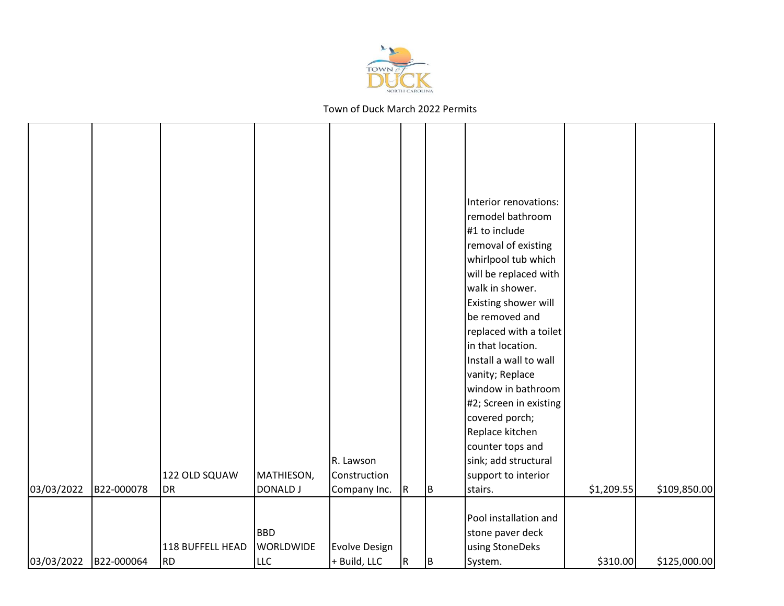

|            |            |                  |                  |                      |           |     | Interior renovations:<br>remodel bathroom<br>#1 to include<br>removal of existing<br>whirlpool tub which<br>will be replaced with<br>walk in shower.<br>Existing shower will<br>be removed and<br>replaced with a toilet<br>in that location.<br>Install a wall to wall<br>vanity; Replace |            |              |
|------------|------------|------------------|------------------|----------------------|-----------|-----|--------------------------------------------------------------------------------------------------------------------------------------------------------------------------------------------------------------------------------------------------------------------------------------------|------------|--------------|
|            |            |                  |                  |                      |           |     | window in bathroom<br>#2; Screen in existing                                                                                                                                                                                                                                               |            |              |
|            |            |                  |                  |                      |           |     | covered porch;<br>Replace kitchen<br>counter tops and                                                                                                                                                                                                                                      |            |              |
|            |            |                  |                  | R. Lawson            |           |     | sink; add structural                                                                                                                                                                                                                                                                       |            |              |
|            |            | 122 OLD SQUAW    | MATHIESON,       | Construction         |           |     | support to interior                                                                                                                                                                                                                                                                        |            |              |
| 03/03/2022 | B22-000078 | DR               | <b>DONALD J</b>  | Company Inc.         | R         | ΙB. | stairs.                                                                                                                                                                                                                                                                                    | \$1,209.55 | \$109,850.00 |
|            |            |                  | <b>BBD</b>       |                      |           |     | Pool installation and<br>stone paver deck                                                                                                                                                                                                                                                  |            |              |
|            |            | 118 BUFFELL HEAD | <b>WORLDWIDE</b> | <b>Evolve Design</b> |           |     | using StoneDeks                                                                                                                                                                                                                                                                            |            |              |
| 03/03/2022 | B22-000064 | <b>RD</b>        | LLC              | + Build, LLC         | ${\sf R}$ | lв  | System.                                                                                                                                                                                                                                                                                    | \$310.00   | \$125,000.00 |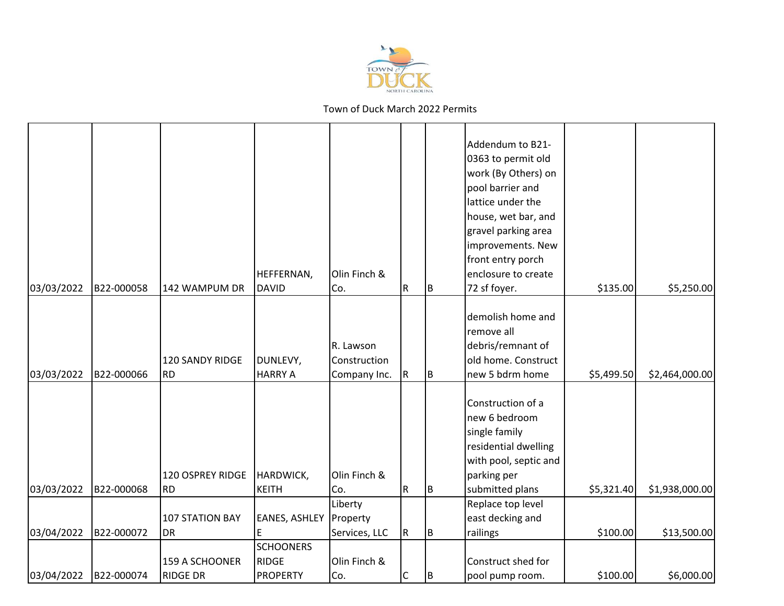

|            |            |                                   | HEFFERNAN,                                          | Olin Finch &                              |             |     | Addendum to B21-<br>0363 to permit old<br>work (By Others) on<br>pool barrier and<br>lattice under the<br>house, wet bar, and<br>gravel parking area<br>improvements. New<br>front entry porch<br>enclosure to create |            |                |
|------------|------------|-----------------------------------|-----------------------------------------------------|-------------------------------------------|-------------|-----|-----------------------------------------------------------------------------------------------------------------------------------------------------------------------------------------------------------------------|------------|----------------|
| 03/03/2022 | B22-000058 | 142 WAMPUM DR                     | <b>DAVID</b>                                        | Co.                                       | R           | IΒ  | 72 sf foyer.                                                                                                                                                                                                          | \$135.00   | \$5,250.00     |
| 03/03/2022 | B22-000066 | 120 SANDY RIDGE<br><b>RD</b>      | DUNLEVY,<br><b>HARRY A</b>                          | R. Lawson<br>Construction<br>Company Inc. | R           | IΒ  | demolish home and<br>remove all<br>debris/remnant of<br>old home. Construct<br>new 5 bdrm home                                                                                                                        | \$5,499.50 | \$2,464,000.00 |
| 03/03/2022 | B22-000068 | 120 OSPREY RIDGE<br><b>RD</b>     | HARDWICK,<br><b>KEITH</b>                           | Olin Finch &<br>Co.                       | $\mathsf R$ | lв  | Construction of a<br>new 6 bedroom<br>single family<br>residential dwelling<br>with pool, septic and<br>parking per<br>submitted plans                                                                                | \$5,321.40 | \$1,938,000.00 |
|            |            |                                   |                                                     | Liberty                                   |             |     | Replace top level                                                                                                                                                                                                     |            |                |
|            |            | <b>107 STATION BAY</b>            | <b>EANES, ASHLEY</b>                                | Property                                  |             |     | east decking and                                                                                                                                                                                                      |            |                |
| 03/04/2022 | B22-000072 | <b>DR</b>                         | E                                                   | Services, LLC                             | R.          | ΙB. | railings                                                                                                                                                                                                              | \$100.00   | \$13,500.00    |
| 03/04/2022 | B22-000074 | 159 A SCHOONER<br><b>RIDGE DR</b> | <b>SCHOONERS</b><br><b>RIDGE</b><br><b>PROPERTY</b> | Olin Finch &<br>Co.                       | $\mathsf C$ | IΒ  | Construct shed for<br>pool pump room.                                                                                                                                                                                 | \$100.00   | \$6,000.00     |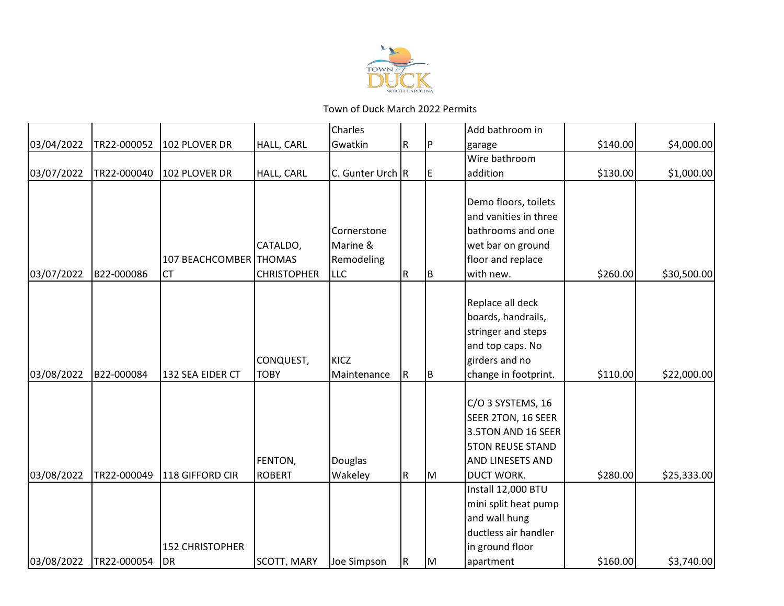

|            |             |                        |                    | Charles          |   |    | Add bathroom in         |          |             |
|------------|-------------|------------------------|--------------------|------------------|---|----|-------------------------|----------|-------------|
| 03/04/2022 | TR22-000052 | 102 PLOVER DR          | <b>HALL, CARL</b>  | Gwatkin          | R | P  | garage                  | \$140.00 | \$4,000.00  |
|            |             |                        |                    |                  |   |    | Wire bathroom           |          |             |
| 03/07/2022 | TR22-000040 | 102 PLOVER DR          | HALL, CARL         | C. Gunter Urch R |   | E  | addition                | \$130.00 | \$1,000.00  |
|            |             |                        |                    |                  |   |    |                         |          |             |
|            |             |                        |                    |                  |   |    | Demo floors, toilets    |          |             |
|            |             |                        |                    |                  |   |    | and vanities in three   |          |             |
|            |             |                        |                    | Cornerstone      |   |    | bathrooms and one       |          |             |
|            |             |                        | CATALDO,           | Marine &         |   |    | wet bar on ground       |          |             |
|            |             | 107 BEACHCOMBER THOMAS |                    | Remodeling       |   |    | floor and replace       |          |             |
| 03/07/2022 | B22-000086  | <b>CT</b>              | <b>CHRISTOPHER</b> | <b>LLC</b>       | R | B  | with new.               | \$260.00 | \$30,500.00 |
|            |             |                        |                    |                  |   |    |                         |          |             |
|            |             |                        |                    |                  |   |    | Replace all deck        |          |             |
|            |             |                        |                    |                  |   |    | boards, handrails,      |          |             |
|            |             |                        |                    |                  |   |    | stringer and steps      |          |             |
|            |             |                        |                    |                  |   |    | and top caps. No        |          |             |
|            |             |                        | CONQUEST,          | KICZ             |   |    | girders and no          |          |             |
| 03/08/2022 | B22-000084  | 132 SEA EIDER CT       | <b>TOBY</b>        | Maintenance      | R | B  | change in footprint.    | \$110.00 | \$22,000.00 |
|            |             |                        |                    |                  |   |    |                         |          |             |
|            |             |                        |                    |                  |   |    | C/O 3 SYSTEMS, 16       |          |             |
|            |             |                        |                    |                  |   |    | SEER 2TON, 16 SEER      |          |             |
|            |             |                        |                    |                  |   |    | 3.5TON AND 16 SEER      |          |             |
|            |             |                        |                    |                  |   |    | <b>5TON REUSE STAND</b> |          |             |
|            |             |                        | FENTON,            | Douglas          |   |    | AND LINESETS AND        |          |             |
| 03/08/2022 | TR22-000049 | 118 GIFFORD CIR        | <b>ROBERT</b>      | Wakeley          | R | M  | DUCT WORK.              | \$280.00 | \$25,333.00 |
|            |             |                        |                    |                  |   |    | Install 12,000 BTU      |          |             |
|            |             |                        |                    |                  |   |    | mini split heat pump    |          |             |
|            |             |                        |                    |                  |   |    | and wall hung           |          |             |
|            |             |                        |                    |                  |   |    | ductless air handler    |          |             |
|            |             | <b>152 CHRISTOPHER</b> |                    |                  |   |    | in ground floor         |          |             |
| 03/08/2022 | TR22-000054 | <b>DR</b>              | <b>SCOTT, MARY</b> | Joe Simpson      | R | lм | apartment               | \$160.00 | \$3,740.00  |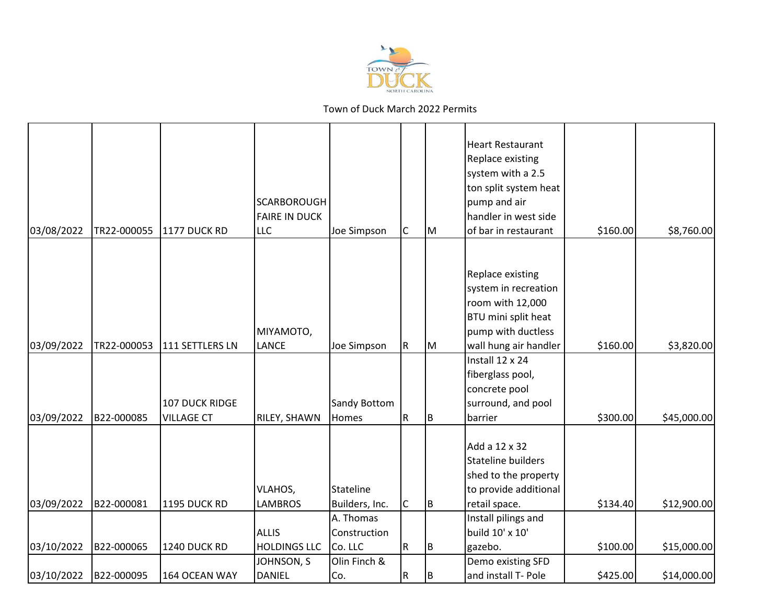

| 03/08/2022 | TR22-000055 | 1177 DUCK RD                        | <b>SCARBOROUGH</b><br><b>FAIRE IN DUCK</b><br><b>LLC</b> | Joe Simpson                 | C         | lм  | <b>Heart Restaurant</b><br>Replace existing<br>system with a 2.5<br>ton split system heat<br>pump and air<br>handler in west side<br>of bar in restaurant | \$160.00 | \$8,760.00  |
|------------|-------------|-------------------------------------|----------------------------------------------------------|-----------------------------|-----------|-----|-----------------------------------------------------------------------------------------------------------------------------------------------------------|----------|-------------|
|            |             |                                     |                                                          |                             |           |     |                                                                                                                                                           |          |             |
|            |             |                                     | MIYAMOTO,                                                |                             |           |     | Replace existing<br>system in recreation<br>room with 12,000<br>BTU mini split heat<br>pump with ductless                                                 |          |             |
| 03/09/2022 | TR22-000053 | 111 SETTLERS LN                     | <b>LANCE</b>                                             | Joe Simpson                 | ${\sf R}$ | M   | wall hung air handler                                                                                                                                     | \$160.00 | \$3,820.00  |
| 03/09/2022 | B22-000085  | 107 DUCK RIDGE<br><b>VILLAGE CT</b> | RILEY, SHAWN                                             | Sandy Bottom<br>Homes       | R         | Iв. | Install 12 x 24<br>fiberglass pool,<br>concrete pool<br>surround, and pool<br>barrier                                                                     | \$300.00 | \$45,000.00 |
| 03/09/2022 | B22-000081  | 1195 DUCK RD                        | VLAHOS,<br><b>LAMBROS</b>                                | Stateline<br>Builders, Inc. | C         | Iв. | Add a 12 x 32<br><b>Stateline builders</b><br>shed to the property<br>to provide additional<br>retail space.                                              | \$134.40 | \$12,900.00 |
|            |             |                                     |                                                          | A. Thomas                   |           |     | Install pilings and                                                                                                                                       |          |             |
|            |             |                                     | <b>ALLIS</b>                                             | Construction                |           |     | build 10' x 10'                                                                                                                                           |          |             |
| 03/10/2022 | B22-000065  | 1240 DUCK RD                        | <b>HOLDINGS LLC</b>                                      | Co. LLC                     | R         | B   | gazebo.                                                                                                                                                   | \$100.00 | \$15,000.00 |
| 03/10/2022 | B22-000095  | 164 OCEAN WAY                       | JOHNSON, S<br><b>DANIEL</b>                              | Olin Finch &<br>Co.         | R         | B   | Demo existing SFD<br>and install T- Pole                                                                                                                  | \$425.00 | \$14,000.00 |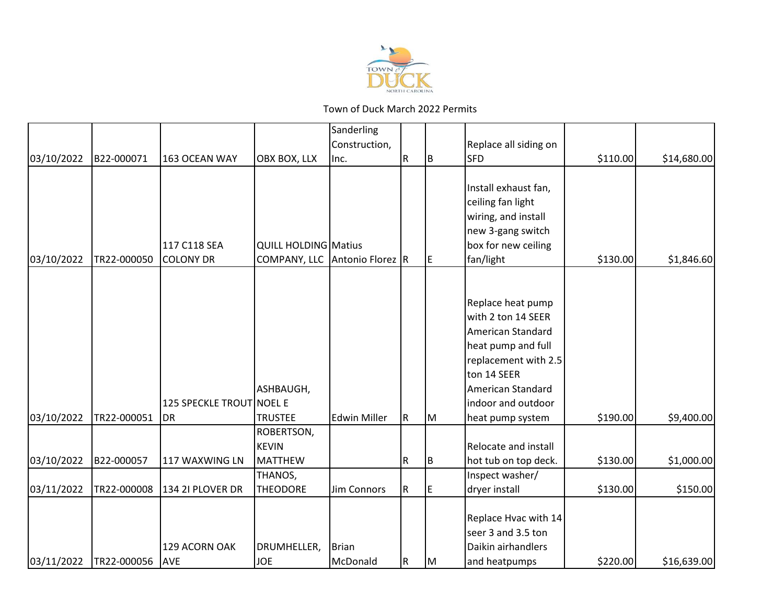

|            |             |                                       |                               | Sanderling          |              |     |                                                                                                                                                                                          |          |             |
|------------|-------------|---------------------------------------|-------------------------------|---------------------|--------------|-----|------------------------------------------------------------------------------------------------------------------------------------------------------------------------------------------|----------|-------------|
|            |             |                                       |                               | Construction,       |              |     | Replace all siding on                                                                                                                                                                    |          |             |
| 03/10/2022 | B22-000071  | 163 OCEAN WAY                         | OBX BOX, LLX                  | Inc.                | R            | B   | <b>SFD</b>                                                                                                                                                                               | \$110.00 | \$14,680.00 |
|            |             | 117 C118 SEA                          | <b>QUILL HOLDING Matius</b>   |                     |              |     | Install exhaust fan,<br>ceiling fan light<br>wiring, and install<br>new 3-gang switch<br>box for new ceiling                                                                             |          |             |
| 03/10/2022 | TR22-000050 | <b>COLONY DR</b>                      | COMPANY, LLC Antonio Florez R |                     |              | IE. | fan/light                                                                                                                                                                                | \$130.00 | \$1,846.60  |
| 03/10/2022 | TR22-000051 | 125 SPECKLE TROUT NOEL E<br><b>DR</b> | ASHBAUGH,<br><b>TRUSTEE</b>   | <b>Edwin Miller</b> | $\mathsf{R}$ | lм  | Replace heat pump<br>with 2 ton 14 SEER<br>American Standard<br>heat pump and full<br>replacement with 2.5<br>ton 14 SEER<br>American Standard<br>indoor and outdoor<br>heat pump system | \$190.00 | \$9,400.00  |
|            |             |                                       | ROBERTSON,                    |                     |              |     |                                                                                                                                                                                          |          |             |
| 03/10/2022 | B22-000057  | 117 WAXWING LN                        | <b>KEVIN</b><br>MATTHEW       |                     | ${\sf R}$    | Iв. | Relocate and install<br>hot tub on top deck.                                                                                                                                             | \$130.00 | \$1,000.00  |
|            |             |                                       | THANOS,                       |                     |              |     | Inspect washer/                                                                                                                                                                          |          |             |
| 03/11/2022 | TR22-000008 | 134 2I PLOVER DR                      | <b>THEODORE</b>               | <b>Jim Connors</b>  | R            | E   | dryer install                                                                                                                                                                            | \$130.00 | \$150.00    |
| 03/11/2022 | TR22-000056 | 129 ACORN OAK<br><b>AVE</b>           | DRUMHELLER,<br><b>JOE</b>     | Brian<br>McDonald   | $\mathsf R$  | Iм  | Replace Hvac with 14<br>seer 3 and 3.5 ton<br>Daikin airhandlers<br>and heatpumps                                                                                                        | \$220.00 | \$16,639.00 |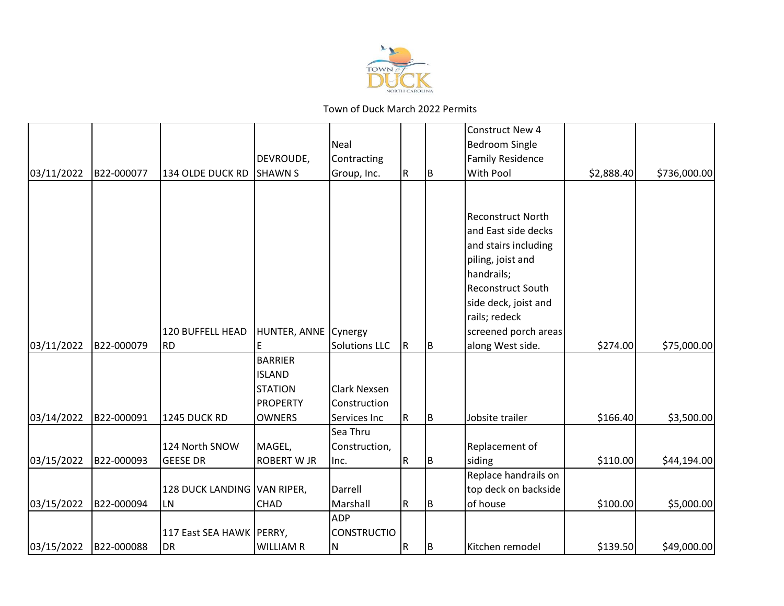

|            |            |                             |                      |                      |           |     | <b>Construct New 4</b>   |            |              |
|------------|------------|-----------------------------|----------------------|----------------------|-----------|-----|--------------------------|------------|--------------|
|            |            |                             |                      | Neal                 |           |     | <b>Bedroom Single</b>    |            |              |
|            |            |                             | DEVROUDE,            | Contracting          |           |     | <b>Family Residence</b>  |            |              |
| 03/11/2022 | B22-000077 | 134 OLDE DUCK RD            | <b>SHAWN S</b>       | Group, Inc.          | R         | IB. | With Pool                | \$2,888.40 | \$736,000.00 |
|            |            |                             |                      |                      |           |     |                          |            |              |
|            |            |                             |                      |                      |           |     |                          |            |              |
|            |            |                             |                      |                      |           |     | <b>Reconstruct North</b> |            |              |
|            |            |                             |                      |                      |           |     | and East side decks      |            |              |
|            |            |                             |                      |                      |           |     | and stairs including     |            |              |
|            |            |                             |                      |                      |           |     | piling, joist and        |            |              |
|            |            |                             |                      |                      |           |     | handrails;               |            |              |
|            |            |                             |                      |                      |           |     | <b>Reconstruct South</b> |            |              |
|            |            |                             |                      |                      |           |     | side deck, joist and     |            |              |
|            |            |                             |                      |                      |           |     | rails; redeck            |            |              |
|            |            | 120 BUFFELL HEAD            | HUNTER, ANNE Cynergy |                      |           |     | screened porch areas     |            |              |
| 03/11/2022 | B22-000079 | <b>RD</b>                   | E                    | <b>Solutions LLC</b> | R         | ΙB. | along West side.         | \$274.00   | \$75,000.00  |
|            |            |                             | <b>BARRIER</b>       |                      |           |     |                          |            |              |
|            |            |                             | <b>ISLAND</b>        |                      |           |     |                          |            |              |
|            |            |                             | <b>STATION</b>       | <b>Clark Nexsen</b>  |           |     |                          |            |              |
|            |            |                             | <b>PROPERTY</b>      | Construction         |           |     |                          |            |              |
| 03/14/2022 | B22-000091 | 1245 DUCK RD                | <b>OWNERS</b>        | Services Inc         | R         | ΙB  | Jobsite trailer          | \$166.40   | \$3,500.00   |
|            |            |                             |                      | Sea Thru             |           |     |                          |            |              |
|            |            | 124 North SNOW              | MAGEL,               | Construction,        |           |     | Replacement of           |            |              |
| 03/15/2022 | B22-000093 | <b>GEESE DR</b>             | <b>ROBERT W JR</b>   | Inc.                 | R         | ΙB. | siding                   | \$110.00   | \$44,194.00  |
|            |            |                             |                      |                      |           |     | Replace handrails on     |            |              |
|            |            | 128 DUCK LANDING VAN RIPER, |                      | Darrell              |           |     | top deck on backside     |            |              |
| 03/15/2022 | B22-000094 | <b>LN</b>                   | CHAD                 | Marshall             | ${\sf R}$ | ΙB. | of house                 | \$100.00   | \$5,000.00   |
|            |            |                             |                      | <b>ADP</b>           |           |     |                          |            |              |
|            |            | 117 East SEA HAWK   PERRY,  |                      | <b>CONSTRUCTIO</b>   |           |     |                          |            |              |
| 03/15/2022 | B22-000088 | <b>DR</b>                   | <b>WILLIAM R</b>     | N                    | ${\sf R}$ | ΙB. | Kitchen remodel          | \$139.50   | \$49,000.00  |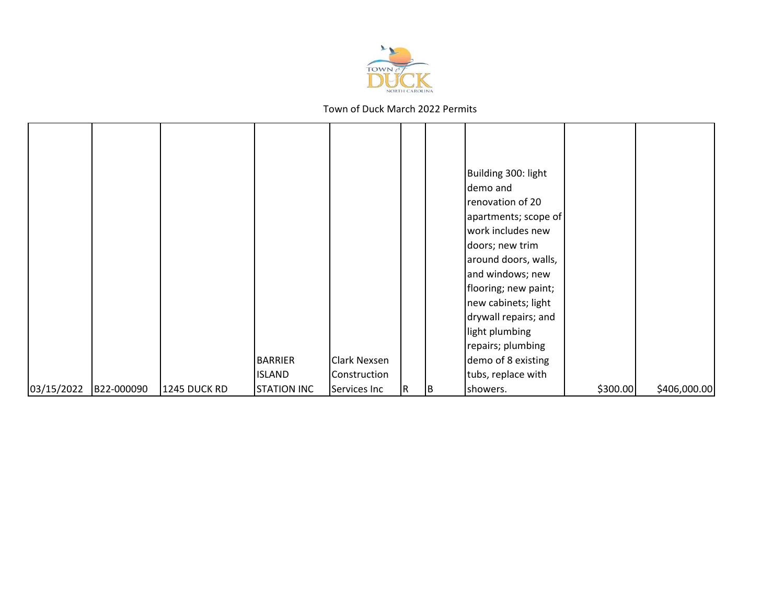

|            |            |              |                    |                     |   |    | Building 300: light  |          |              |
|------------|------------|--------------|--------------------|---------------------|---|----|----------------------|----------|--------------|
|            |            |              |                    |                     |   |    | demo and             |          |              |
|            |            |              |                    |                     |   |    | renovation of 20     |          |              |
|            |            |              |                    |                     |   |    | apartments; scope of |          |              |
|            |            |              |                    |                     |   |    | work includes new    |          |              |
|            |            |              |                    |                     |   |    | doors; new trim      |          |              |
|            |            |              |                    |                     |   |    | around doors, walls, |          |              |
|            |            |              |                    |                     |   |    | and windows; new     |          |              |
|            |            |              |                    |                     |   |    | flooring; new paint; |          |              |
|            |            |              |                    |                     |   |    | new cabinets; light  |          |              |
|            |            |              |                    |                     |   |    | drywall repairs; and |          |              |
|            |            |              |                    |                     |   |    | light plumbing       |          |              |
|            |            |              |                    |                     |   |    | repairs; plumbing    |          |              |
|            |            |              | <b>BARRIER</b>     | <b>Clark Nexsen</b> |   |    | demo of 8 existing   |          |              |
|            |            |              | <b>ISLAND</b>      | Construction        |   |    | tubs, replace with   |          |              |
| 03/15/2022 | B22-000090 | 1245 DUCK RD | <b>STATION INC</b> | Services Inc        | R | 1B | showers.             | \$300.00 | \$406,000.00 |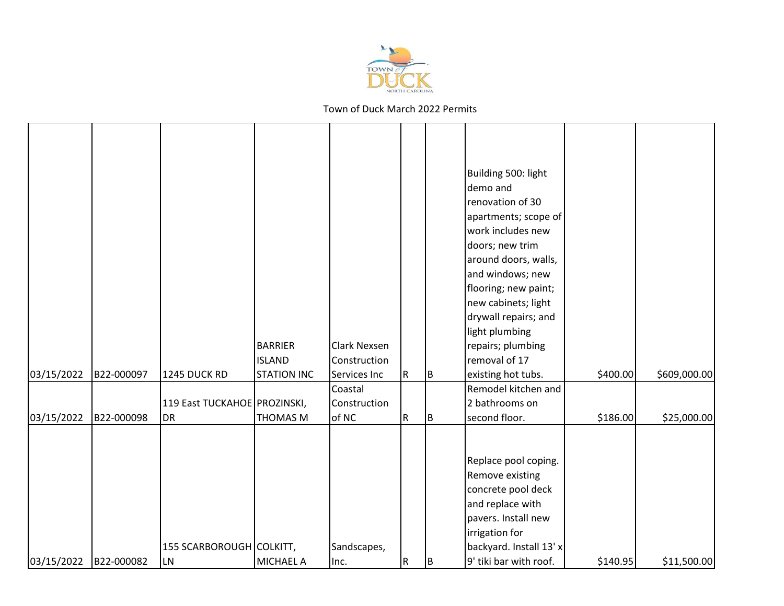

|            |            |                              | <b>BARRIER</b><br><b>ISLAND</b> | <b>Clark Nexsen</b><br>Construction |   |     | Building 500: light<br>demo and<br>renovation of 30<br>apartments; scope of<br>work includes new<br>doors; new trim<br>around doors, walls,<br>and windows; new<br>flooring; new paint;<br>new cabinets; light<br>drywall repairs; and<br>light plumbing<br>repairs; plumbing<br>removal of 17 |          |              |
|------------|------------|------------------------------|---------------------------------|-------------------------------------|---|-----|------------------------------------------------------------------------------------------------------------------------------------------------------------------------------------------------------------------------------------------------------------------------------------------------|----------|--------------|
| 03/15/2022 | B22-000097 | 1245 DUCK RD                 | <b>STATION INC</b>              | Services Inc                        | R | IB. | existing hot tubs.                                                                                                                                                                                                                                                                             | \$400.00 | \$609,000.00 |
|            |            |                              |                                 | Coastal                             |   |     | Remodel kitchen and                                                                                                                                                                                                                                                                            |          |              |
|            |            | 119 East TUCKAHOE PROZINSKI, |                                 | Construction                        |   |     | 2 bathrooms on                                                                                                                                                                                                                                                                                 |          |              |
| 03/15/2022 | B22-000098 | DR                           | <b>THOMAS M</b>                 | of NC                               | R | B   | second floor.                                                                                                                                                                                                                                                                                  | \$186.00 | \$25,000.00  |
|            |            | 155 SCARBOROUGH COLKITT,     |                                 | Sandscapes,                         |   |     | Replace pool coping.<br>Remove existing<br>concrete pool deck<br>and replace with<br>pavers. Install new<br>irrigation for<br>backyard. Install 13' x                                                                                                                                          |          |              |
| 03/15/2022 | B22-000082 | <b>LN</b>                    | MICHAEL A                       | lnc.                                | R | B   | 9' tiki bar with roof.                                                                                                                                                                                                                                                                         | \$140.95 | \$11,500.00  |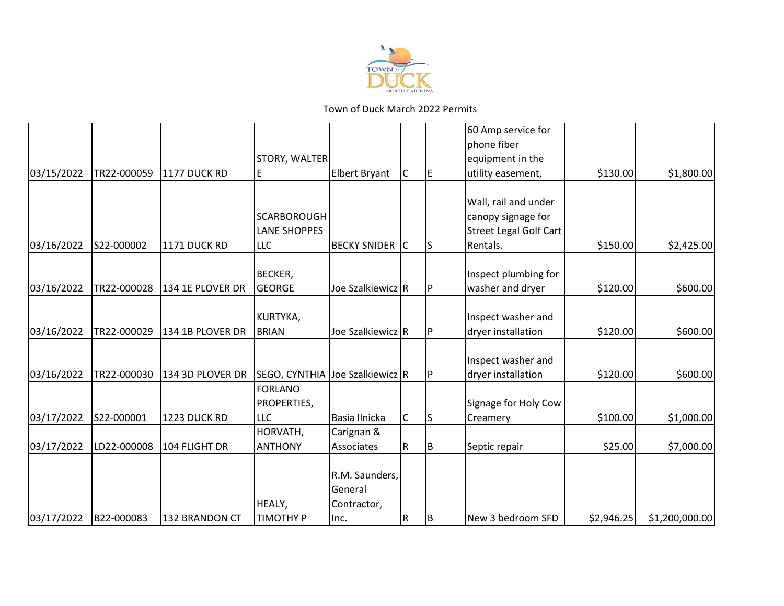

|            |             |                     |                                 |                       |                         |     | 60 Amp service for            |            |                |
|------------|-------------|---------------------|---------------------------------|-----------------------|-------------------------|-----|-------------------------------|------------|----------------|
|            |             |                     |                                 |                       |                         |     | phone fiber                   |            |                |
|            |             |                     | STORY, WALTER                   |                       |                         |     | equipment in the              |            |                |
| 03/15/2022 | TR22-000059 | 1177 DUCK RD        | Ε                               | Elbert Bryant         | $\overline{\mathsf{C}}$ | IE. | utility easement,             | \$130.00   | \$1,800.00     |
|            |             |                     |                                 |                       |                         |     |                               |            |                |
|            |             |                     |                                 |                       |                         |     | Wall, rail and under          |            |                |
|            |             |                     | SCARBOROUGH                     |                       |                         |     | canopy signage for            |            |                |
|            |             |                     | <b>LANE SHOPPES</b>             |                       |                         |     | <b>Street Legal Golf Cart</b> |            |                |
| 03/16/2022 | S22-000002  | <b>1171 DUCK RD</b> | <b>LLC</b>                      | <b>BECKY SNIDER</b> C |                         | IS  | Rentals.                      | \$150.00   | \$2,425.00     |
|            |             |                     |                                 |                       |                         |     |                               |            |                |
|            |             |                     | <b>BECKER,</b>                  |                       |                         |     | Inspect plumbing for          |            |                |
| 03/16/2022 | TR22-000028 | 134 1E PLOVER DR    | <b>GEORGE</b>                   | Joe Szalkiewicz R     |                         | IP. | washer and dryer              | \$120.00   | \$600.00       |
|            |             |                     | KURTYKA,                        |                       |                         |     | Inspect washer and            |            |                |
| 03/16/2022 | TR22-000029 | 134 1B PLOVER DR    | <b>BRIAN</b>                    | Joe Szalkiewicz R     |                         | IP. | dryer installation            | \$120.00   | \$600.00       |
|            |             |                     |                                 |                       |                         |     |                               |            |                |
|            |             |                     |                                 |                       |                         |     | Inspect washer and            |            |                |
| 03/16/2022 | TR22-000030 | 134 3D PLOVER DR    | SEGO, CYNTHIA Joe Szalkiewicz R |                       |                         | IP. | dryer installation            | \$120.00   | \$600.00       |
|            |             |                     | <b>FORLANO</b>                  |                       |                         |     |                               |            |                |
|            |             |                     | PROPERTIES,                     |                       |                         |     | Signage for Holy Cow          |            |                |
| 03/17/2022 | S22-000001  | 1223 DUCK RD        | <b>LLC</b>                      | Basia Ilnicka         | $\overline{C}$          | ls  | Creamery                      | \$100.00   | \$1,000.00     |
|            |             |                     | HORVATH,                        | Carignan &            |                         |     |                               |            |                |
| 03/17/2022 | LD22-000008 | 104 FLIGHT DR       | <b>ANTHONY</b>                  | Associates            | IR.                     | B   | Septic repair                 | \$25.00    | \$7,000.00     |
|            |             |                     |                                 |                       |                         |     |                               |            |                |
|            |             |                     |                                 | R.M. Saunders,        |                         |     |                               |            |                |
|            |             |                     |                                 | General               |                         |     |                               |            |                |
|            |             |                     | HEALY,                          | Contractor,           |                         |     |                               |            |                |
| 03/17/2022 | B22-000083  | 132 BRANDON CT      | <b>TIMOTHY P</b>                | Inc.                  | IR.                     | IΒ  | New 3 bedroom SFD             | \$2,946.25 | \$1,200,000.00 |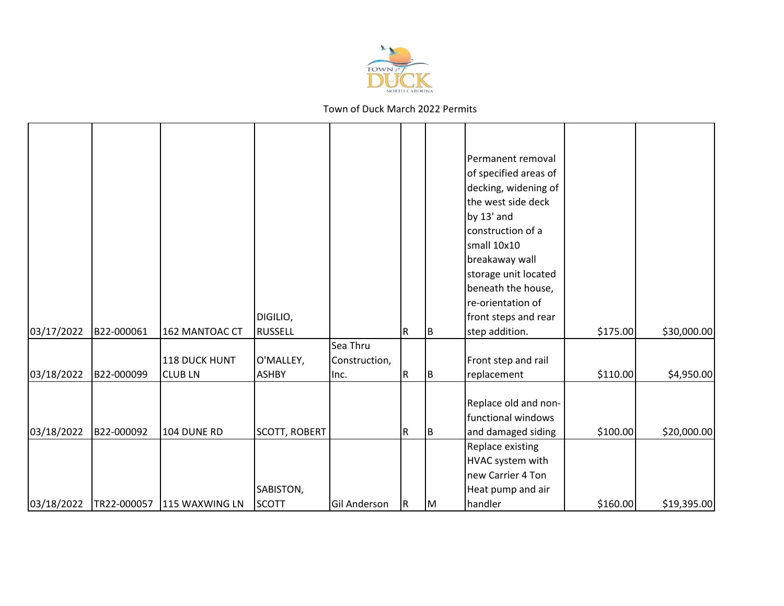

|            |             |                |                      |               |     |     | Permanent removal     |          |             |
|------------|-------------|----------------|----------------------|---------------|-----|-----|-----------------------|----------|-------------|
|            |             |                |                      |               |     |     | of specified areas of |          |             |
|            |             |                |                      |               |     |     | decking, widening of  |          |             |
|            |             |                |                      |               |     |     | the west side deck    |          |             |
|            |             |                |                      |               |     |     | by 13' and            |          |             |
|            |             |                |                      |               |     |     | construction of a     |          |             |
|            |             |                |                      |               |     |     | small 10x10           |          |             |
|            |             |                |                      |               |     |     | breakaway wall        |          |             |
|            |             |                |                      |               |     |     | storage unit located  |          |             |
|            |             |                |                      |               |     |     | beneath the house,    |          |             |
|            |             |                |                      |               |     |     | re-orientation of     |          |             |
|            |             |                | DIGILIO,             |               |     |     | front steps and rear  |          |             |
| 03/17/2022 | B22-000061  | 162 MANTOAC CT | <b>RUSSELL</b>       |               | R   | IB. | step addition.        | \$175.00 | \$30,000.00 |
|            |             |                |                      | Sea Thru      |     |     |                       |          |             |
|            |             | 118 DUCK HUNT  | O'MALLEY,            | Construction, |     |     | Front step and rail   |          |             |
| 03/18/2022 | B22-000099  | <b>CLUBLN</b>  | <b>ASHBY</b>         | lnc.          | R   | ΙB  | replacement           | \$110.00 | \$4,950.00  |
|            |             |                |                      |               |     |     |                       |          |             |
|            |             |                |                      |               |     |     | Replace old and non-  |          |             |
|            |             |                |                      |               |     |     | functional windows    |          |             |
| 03/18/2022 | B22-000092  | 104 DUNE RD    | <b>SCOTT, ROBERT</b> |               | R   | B   | and damaged siding    | \$100.00 | \$20,000.00 |
|            |             |                |                      |               |     |     | Replace existing      |          |             |
|            |             |                |                      |               |     |     | HVAC system with      |          |             |
|            |             |                |                      |               |     |     | new Carrier 4 Ton     |          |             |
|            |             |                | SABISTON,            |               |     |     | Heat pump and air     |          |             |
| 03/18/2022 | TR22-000057 | 115 WAXWING LN | <b>SCOTT</b>         | Gil Anderson  | IR. | IМ  | handler               | \$160.00 | \$19,395.00 |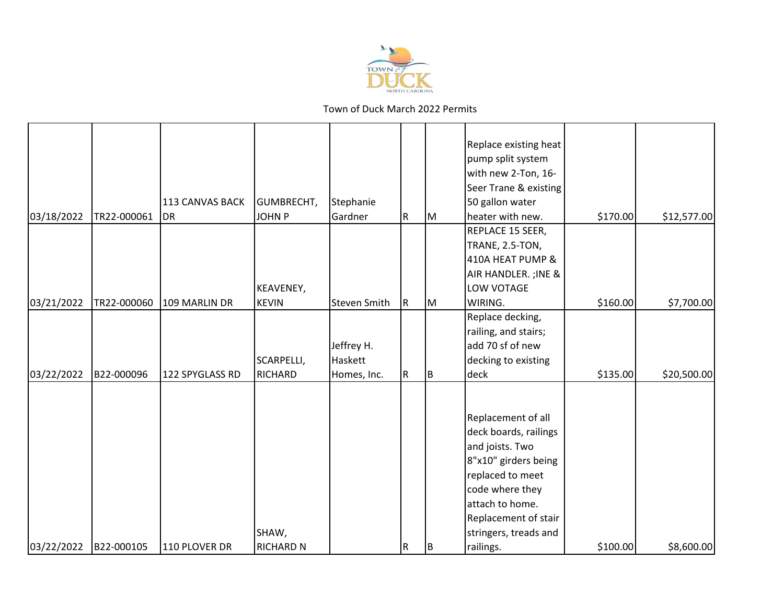

|            |             |                        |                  |                     |           |     | Replace existing heat  |          |             |
|------------|-------------|------------------------|------------------|---------------------|-----------|-----|------------------------|----------|-------------|
|            |             |                        |                  |                     |           |     | pump split system      |          |             |
|            |             |                        |                  |                     |           |     | with new 2-Ton, 16-    |          |             |
|            |             |                        |                  |                     |           |     | Seer Trane & existing  |          |             |
|            |             | <b>113 CANVAS BACK</b> | GUMBRECHT,       | Stephanie           |           |     | 50 gallon water        |          |             |
| 03/18/2022 | TR22-000061 | DR                     | <b>JOHN P</b>    | Gardner             | R         | lм  | heater with new.       | \$170.00 | \$12,577.00 |
|            |             |                        |                  |                     |           |     | REPLACE 15 SEER,       |          |             |
|            |             |                        |                  |                     |           |     | <b>TRANE, 2.5-TON,</b> |          |             |
|            |             |                        |                  |                     |           |     | 410A HEAT PUMP &       |          |             |
|            |             |                        |                  |                     |           |     | AIR HANDLER. ; INE &   |          |             |
|            |             |                        | KEAVENEY,        |                     |           |     | LOW VOTAGE             |          |             |
| 03/21/2022 | TR22-000060 | 109 MARLIN DR          | <b>KEVIN</b>     | <b>Steven Smith</b> | ${\sf R}$ | M   | WIRING.                | \$160.00 | \$7,700.00  |
|            |             |                        |                  |                     |           |     | Replace decking,       |          |             |
|            |             |                        |                  |                     |           |     | railing, and stairs;   |          |             |
|            |             |                        |                  | Jeffrey H.          |           |     | add 70 sf of new       |          |             |
|            |             |                        | SCARPELLI,       | Haskett             |           |     | decking to existing    |          |             |
| 03/22/2022 | B22-000096  | 122 SPYGLASS RD        | <b>RICHARD</b>   | Homes, Inc.         | R         | Iв. | deck                   | \$135.00 | \$20,500.00 |
|            |             |                        |                  |                     |           |     |                        |          |             |
|            |             |                        |                  |                     |           |     |                        |          |             |
|            |             |                        |                  |                     |           |     | Replacement of all     |          |             |
|            |             |                        |                  |                     |           |     | deck boards, railings  |          |             |
|            |             |                        |                  |                     |           |     | and joists. Two        |          |             |
|            |             |                        |                  |                     |           |     | 8"x10" girders being   |          |             |
|            |             |                        |                  |                     |           |     | replaced to meet       |          |             |
|            |             |                        |                  |                     |           |     | code where they        |          |             |
|            |             |                        |                  |                     |           |     | attach to home.        |          |             |
|            |             |                        |                  |                     |           |     | Replacement of stair   |          |             |
|            |             |                        | SHAW,            |                     |           |     | stringers, treads and  |          |             |
| 03/22/2022 | B22-000105  | 110 PLOVER DR          | <b>RICHARD N</b> |                     | ${\sf R}$ | ΙB. | railings.              | \$100.00 | \$8,600.00  |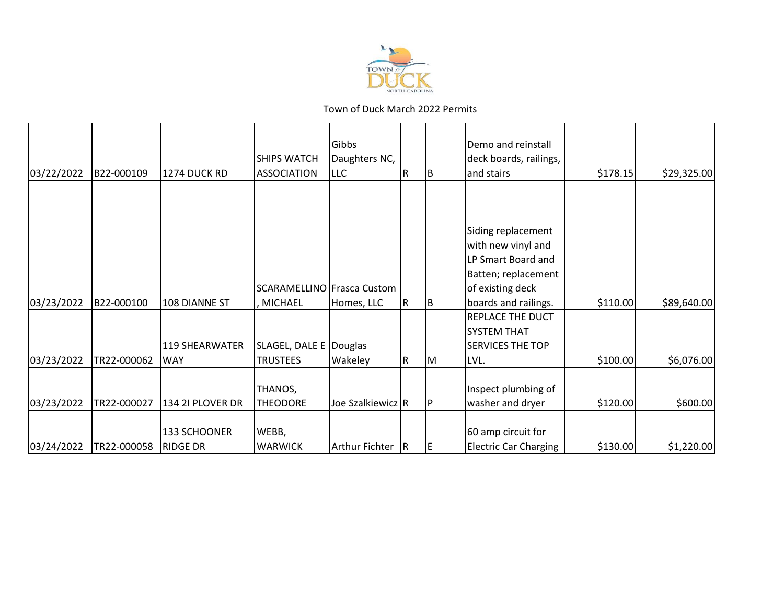

|            |             |                  |                                   | Gibbs             |     |    | Demo and reinstall           |          |             |
|------------|-------------|------------------|-----------------------------------|-------------------|-----|----|------------------------------|----------|-------------|
|            |             |                  | <b>SHIPS WATCH</b>                | Daughters NC,     |     |    | deck boards, railings,       |          |             |
| 03/22/2022 | B22-000109  | 1274 DUCK RD     | <b>ASSOCIATION</b>                | <b>LLC</b>        | IR. | ΙB | and stairs                   | \$178.15 | \$29,325.00 |
|            |             |                  |                                   |                   |     |    |                              |          |             |
|            |             |                  |                                   |                   |     |    |                              |          |             |
|            |             |                  |                                   |                   |     |    |                              |          |             |
|            |             |                  |                                   |                   |     |    | Siding replacement           |          |             |
|            |             |                  |                                   |                   |     |    | with new vinyl and           |          |             |
|            |             |                  |                                   |                   |     |    | LP Smart Board and           |          |             |
|            |             |                  |                                   |                   |     |    | Batten; replacement          |          |             |
|            |             |                  | <b>SCARAMELLINO Frasca Custom</b> |                   |     |    | of existing deck             |          |             |
| 03/23/2022 | B22-000100  | 108 DIANNE ST    | <b>MICHAEL</b>                    | Homes, LLC        | R   | IВ | boards and railings.         | \$110.00 | \$89,640.00 |
|            |             |                  |                                   |                   |     |    | <b>REPLACE THE DUCT</b>      |          |             |
|            |             |                  |                                   |                   |     |    | <b>SYSTEM THAT</b>           |          |             |
|            |             | 119 SHEARWATER   | SLAGEL, DALE E                    | Douglas           |     |    | <b>SERVICES THE TOP</b>      |          |             |
| 03/23/2022 | TR22-000062 | <b>WAY</b>       | <b>TRUSTEES</b>                   | Wakeley           | IR. | IМ | LVL.                         | \$100.00 | \$6,076.00  |
|            |             |                  |                                   |                   |     |    |                              |          |             |
|            |             |                  | THANOS,                           |                   |     |    | Inspect plumbing of          |          |             |
| 03/23/2022 | TR22-000027 | 134 2I PLOVER DR | <b>THEODORE</b>                   | Joe Szalkiewicz R |     |    | washer and dryer             | \$120.00 | \$600.00    |
|            |             |                  |                                   |                   |     |    |                              |          |             |
|            |             | 133 SCHOONER     | WEBB,                             |                   |     |    | 60 amp circuit for           |          |             |
| 03/24/2022 | TR22-000058 | <b>RIDGE DR</b>  | <b>WARWICK</b>                    | Arthur Fichter R  |     | ΙE | <b>Electric Car Charging</b> | \$130.00 | \$1,220.00  |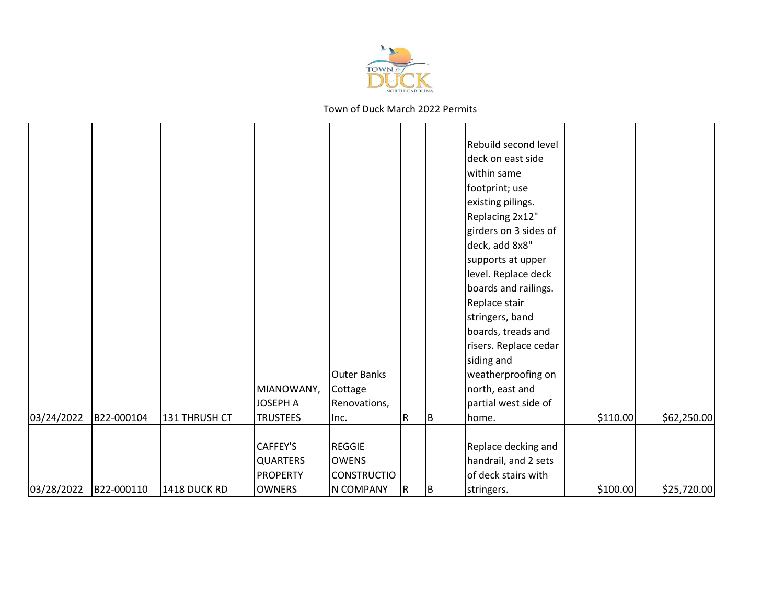

|            |            |               |                 |                    |   |    | Rebuild second level  |          |             |
|------------|------------|---------------|-----------------|--------------------|---|----|-----------------------|----------|-------------|
|            |            |               |                 |                    |   |    | deck on east side     |          |             |
|            |            |               |                 |                    |   |    | within same           |          |             |
|            |            |               |                 |                    |   |    | footprint; use        |          |             |
|            |            |               |                 |                    |   |    | existing pilings.     |          |             |
|            |            |               |                 |                    |   |    | Replacing 2x12"       |          |             |
|            |            |               |                 |                    |   |    | girders on 3 sides of |          |             |
|            |            |               |                 |                    |   |    |                       |          |             |
|            |            |               |                 |                    |   |    | deck, add 8x8"        |          |             |
|            |            |               |                 |                    |   |    | supports at upper     |          |             |
|            |            |               |                 |                    |   |    | level. Replace deck   |          |             |
|            |            |               |                 |                    |   |    | boards and railings.  |          |             |
|            |            |               |                 |                    |   |    | Replace stair         |          |             |
|            |            |               |                 |                    |   |    | stringers, band       |          |             |
|            |            |               |                 |                    |   |    | boards, treads and    |          |             |
|            |            |               |                 |                    |   |    | risers. Replace cedar |          |             |
|            |            |               |                 |                    |   |    | siding and            |          |             |
|            |            |               |                 | <b>Outer Banks</b> |   |    | weatherproofing on    |          |             |
|            |            |               | MIANOWANY,      | Cottage            |   |    | north, east and       |          |             |
|            |            |               | <b>JOSEPH A</b> | Renovations,       |   |    | partial west side of  |          |             |
| 03/24/2022 | B22-000104 | 131 THRUSH CT | <b>TRUSTEES</b> | Inc.               | R | ΙB | home.                 | \$110.00 | \$62,250.00 |
|            |            |               |                 |                    |   |    |                       |          |             |
|            |            |               | CAFFEY'S        | <b>REGGIE</b>      |   |    | Replace decking and   |          |             |
|            |            |               | <b>QUARTERS</b> | <b>OWENS</b>       |   |    | handrail, and 2 sets  |          |             |
|            |            |               | <b>PROPERTY</b> | <b>CONSTRUCTIO</b> |   |    | of deck stairs with   |          |             |
| 03/28/2022 | B22-000110 | 1418 DUCK RD  | <b>OWNERS</b>   | <b>N COMPANY</b>   | R | ΙB | stringers.            | \$100.00 | \$25,720.00 |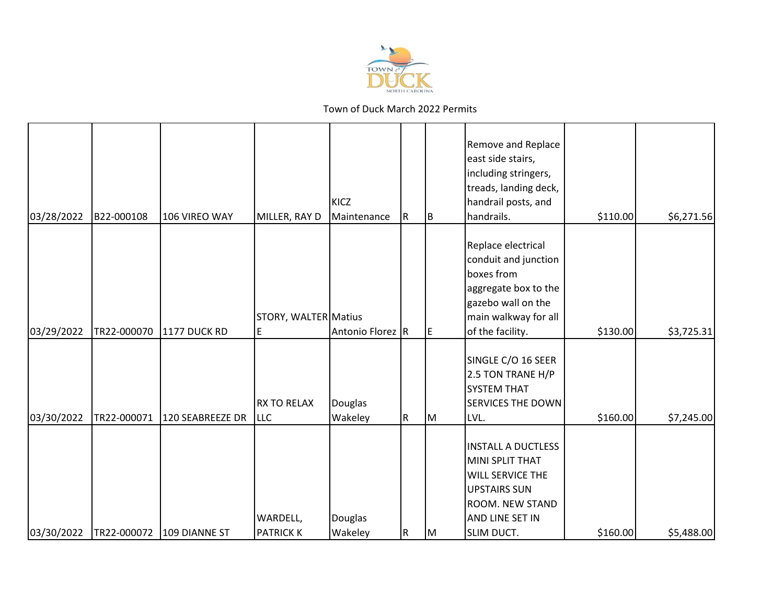

|            |             |                     |                                  | KICZ               |           |          | Remove and Replace<br>east side stairs,<br>including stringers,<br>treads, landing deck,<br>handrail posts, and                             |          |            |
|------------|-------------|---------------------|----------------------------------|--------------------|-----------|----------|---------------------------------------------------------------------------------------------------------------------------------------------|----------|------------|
| 03/28/2022 | B22-000108  | 106 VIREO WAY       | MILLER, RAY D                    | Maintenance        | ${\sf R}$ | <b>B</b> | handrails.                                                                                                                                  | \$110.00 | \$6,271.56 |
|            |             |                     | STORY, WALTER Matius             |                    |           |          | Replace electrical<br>conduit and junction<br>boxes from<br>aggregate box to the<br>gazebo wall on the<br>main walkway for all              |          |            |
| 03/29/2022 | TR22-000070 | <b>1177 DUCK RD</b> | E                                | Antonio Florez R   |           | IE.      | of the facility.                                                                                                                            | \$130.00 | \$3,725.31 |
| 03/30/2022 | TR22-000071 | 120 SEABREEZE DR    | <b>RX TO RELAX</b><br><b>LLC</b> | Douglas<br>Wakeley | R         | Iм       | SINGLE C/O 16 SEER<br>2.5 TON TRANE H/P<br><b>SYSTEM THAT</b><br><b>SERVICES THE DOWN</b><br>LVL.                                           | \$160.00 | \$7,245.00 |
| 03/30/2022 | TR22-000072 | 109 DIANNE ST       | WARDELL,<br><b>PATRICK K</b>     | Douglas<br>Wakeley | ${\sf R}$ | lм       | <b>INSTALL A DUCTLESS</b><br>MINI SPLIT THAT<br>WILL SERVICE THE<br><b>UPSTAIRS SUN</b><br>ROOM. NEW STAND<br>AND LINE SET IN<br>SLIM DUCT. | \$160.00 | \$5,488.00 |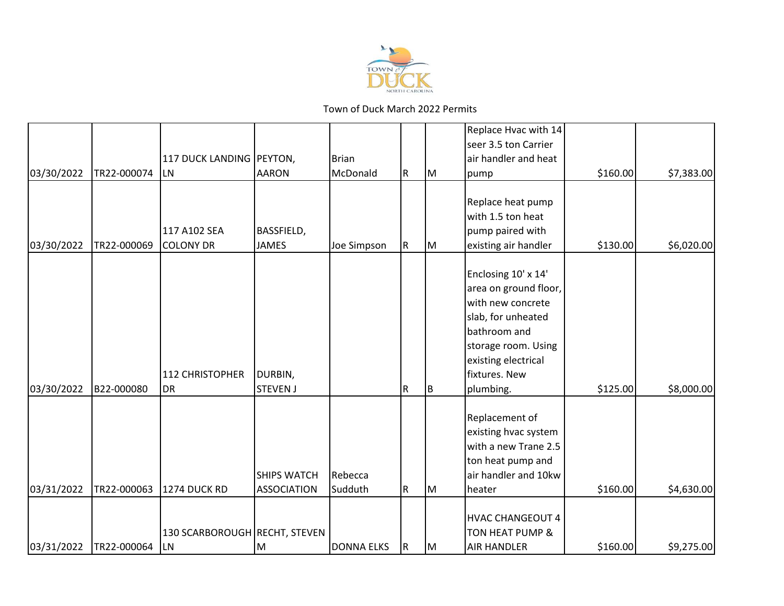

|            |             |                                            |                                          |                    |             |     | Replace Hvac with 14<br>seer 3.5 ton Carrier                                                                                                                                        |          |            |
|------------|-------------|--------------------------------------------|------------------------------------------|--------------------|-------------|-----|-------------------------------------------------------------------------------------------------------------------------------------------------------------------------------------|----------|------------|
| 03/30/2022 | TR22-000074 | 117 DUCK LANDING PEYTON,<br><b>LN</b>      | <b>AARON</b>                             | Brian<br>McDonald  | R           | M   | air handler and heat<br>pump                                                                                                                                                        | \$160.00 | \$7,383.00 |
|            |             | 117 A102 SEA                               | <b>BASSFIELD,</b>                        |                    |             |     | Replace heat pump<br>with 1.5 ton heat<br>pump paired with                                                                                                                          |          |            |
| 03/30/2022 | TR22-000069 | <b>COLONY DR</b>                           | <b>JAMES</b>                             | Joe Simpson        | $\mathsf R$ | M   | existing air handler                                                                                                                                                                | \$130.00 | \$6,020.00 |
| 03/30/2022 | B22-000080  | 112 CHRISTOPHER<br><b>DR</b>               | DURBIN,<br><b>STEVEN J</b>               |                    | R           | IB. | Enclosing 10' x 14'<br>area on ground floor,<br>with new concrete<br>slab, for unheated<br>bathroom and<br>storage room. Using<br>existing electrical<br>fixtures. New<br>plumbing. | \$125.00 | \$8,000.00 |
| 03/31/2022 | TR22-000063 | 1274 DUCK RD                               | <b>SHIPS WATCH</b><br><b>ASSOCIATION</b> | Rebecca<br>Sudduth | $\mathsf R$ | M   | Replacement of<br>existing hvac system<br>with a new Trane 2.5<br>ton heat pump and<br>air handler and 10kw<br>heater                                                               | \$160.00 | \$4,630.00 |
| 03/31/2022 | TR22-000064 | 130 SCARBOROUGH RECHT, STEVEN<br><b>LN</b> | lм                                       | <b>DONNA ELKS</b>  | IR.         | lм  | <b>HVAC CHANGEOUT 4</b><br>TON HEAT PUMP &<br><b>AIR HANDLER</b>                                                                                                                    | \$160.00 | \$9,275.00 |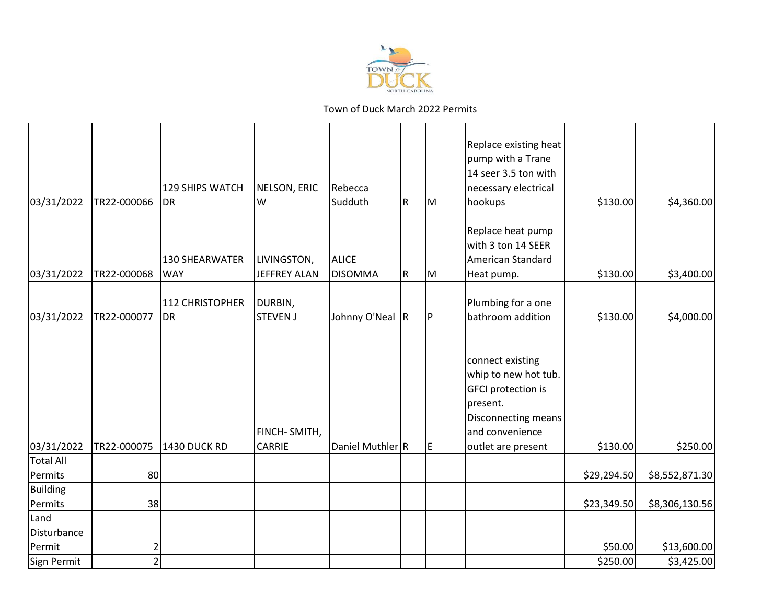

| 03/31/2022                     | TR22-000066    | <b>129 SHIPS WATCH</b><br><b>DR</b> | NELSON, ERIC<br>W                  | Rebecca<br>Sudduth             | R         | lм  | Replace existing heat<br>pump with a Trane<br>14 seer 3.5 ton with<br>necessary electrical<br>hookups                                             | \$130.00                   | \$4,360.00                       |
|--------------------------------|----------------|-------------------------------------|------------------------------------|--------------------------------|-----------|-----|---------------------------------------------------------------------------------------------------------------------------------------------------|----------------------------|----------------------------------|
| 03/31/2022                     | TR22-000068    | <b>130 SHEARWATER</b><br><b>WAY</b> | LIVINGSTON,<br><b>JEFFREY ALAN</b> | <b>ALICE</b><br><b>DISOMMA</b> | ${\sf R}$ | Iм  | Replace heat pump<br>with 3 ton 14 SEER<br>American Standard<br>Heat pump.                                                                        | \$130.00                   | \$3,400.00                       |
| 03/31/2022                     | TR22-000077    | <b>112 CHRISTOPHER</b><br><b>DR</b> | DURBIN,<br><b>STEVEN J</b>         | Johnny O'Neal R                |           | IP. | Plumbing for a one<br>bathroom addition                                                                                                           | \$130.00                   | \$4,000.00                       |
| 03/31/2022                     | TR22-000075    | 1430 DUCK RD                        | FINCH-SMITH,<br><b>CARRIE</b>      | Daniel Muthler R               |           | E   | connect existing<br>whip to new hot tub.<br><b>GFCI</b> protection is<br>present.<br>Disconnecting means<br>and convenience<br>outlet are present | \$130.00                   | \$250.00                         |
| <b>Total All</b>               |                |                                     |                                    |                                |           |     |                                                                                                                                                   |                            |                                  |
| Permits<br>Building<br>Permits | 80<br>38       |                                     |                                    |                                |           |     |                                                                                                                                                   | \$29,294.50<br>\$23,349.50 | \$8,552,871.30<br>\$8,306,130.56 |
| Land<br>Disturbance<br>Permit  | $\overline{c}$ |                                     |                                    |                                |           |     |                                                                                                                                                   | \$50.00                    | \$13,600.00                      |
| Sign Permit                    | $\overline{2}$ |                                     |                                    |                                |           |     |                                                                                                                                                   | \$250.00                   | \$3,425.00                       |